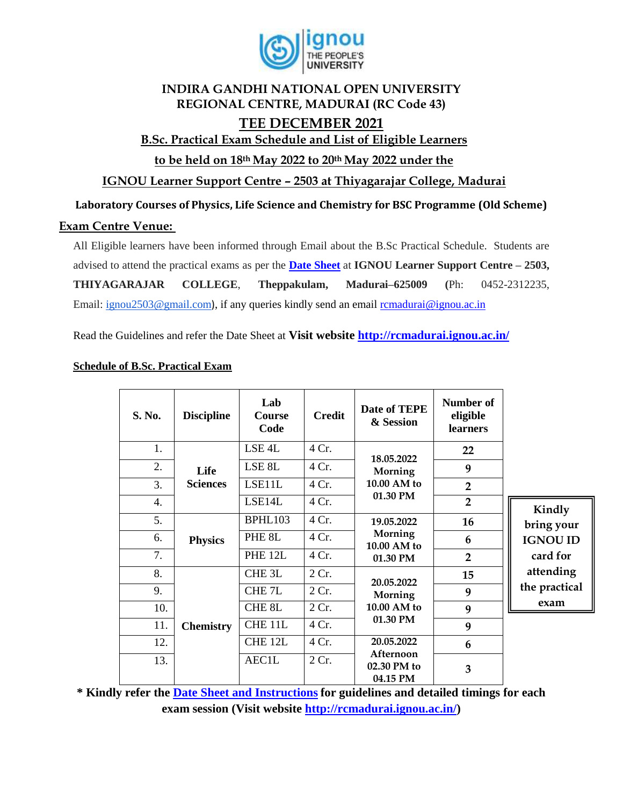

## **INDIRA GANDHI NATIONAL OPEN UNIVERSITY REGIONAL CENTRE, MADURAI (RC Code 43) TEE DECEMBER 2021**

## **B.Sc. Practical Exam Schedule and List of Eligible Learners**

**to be held on 18th May 2022 to 20th May 2022 under the** 

**IGNOU Learner Support Centre – 2503 at Thiyagarajar College, Madurai** 

**Laboratory Courses of Physics, Life Science and Chemistry for BSC Programme (Old Scheme)** 

## **Exam Centre Venue:**

All Eligible learners have been informed through Email about the B.Sc Practical Schedule. Students are advised to attend the practical exams as per the **[Date Sheet](http://rcmadurai.ignou.ac.in/Ignou-RC-Madurai/userfiles/file/Guidelines%20for%20students%20of%20B_Sc_Practical_TEEDec20.pdf)** at **IGNOU Learner Support Centre – 2503, THIYAGARAJAR COLLEGE**, **Theppakulam, Madurai–625009 (**Ph: 0452-2312235, Email: [ignou2503@gmail.com](mailto:ignou2503@gmail.com)), if any queries kindly send an email [rcmadurai@ignou.ac.in](mailto:rcmadurai@ignou.ac.in)

Read the Guidelines and refer the Date Sheet at **Visit website<http://rcmadurai.ignou.ac.in/>**

| S. No.           | <b>Discipline</b>       | Lab<br><b>Course</b><br>Code | <b>Credit</b> | Date of TEPE<br>& Session                        | Number of<br>eligible<br>learners |                                                           |
|------------------|-------------------------|------------------------------|---------------|--------------------------------------------------|-----------------------------------|-----------------------------------------------------------|
| 1.               | Life<br><b>Sciences</b> | LSE <sub>4</sub> L           | 4 Cr.         | 18.05.2022<br>Morning<br>10.00 AM to<br>01.30 PM | 22                                | Kindly                                                    |
| 2.               |                         | LSE <sub>8L</sub>            | 4 Cr.         |                                                  | 9                                 |                                                           |
| 3.               |                         | LSE11L                       | 4 Cr.         |                                                  | $\overline{2}$                    |                                                           |
| $\overline{4}$ . |                         | LSE14L                       | 4 Cr.         |                                                  | $\overline{2}$                    |                                                           |
| 5.               | <b>Physics</b>          | BPHL103                      | 4 Cr.         | 19.05.2022                                       | 16                                | bring your                                                |
| 6.               |                         | PHE <sub>8L</sub>            | 4 Cr.         | Morning<br>10.00 AM to<br>01.30 PM               | 6                                 | <b>IGNOU ID</b><br>card for<br>attending<br>the practical |
| 7.               |                         | <b>PHE 12L</b>               | 4 Cr.         |                                                  | $\overline{2}$                    |                                                           |
| 8.               | <b>Chemistry</b>        | CHE <sub>3L</sub>            | 2 Cr.         | 20.05.2022<br>Morning                            | 15                                |                                                           |
| 9.               |                         | CHE <sub>7L</sub>            | 2 Cr.         |                                                  | 9                                 |                                                           |
| 10.              |                         | CHE <sub>8L</sub>            | 2 Cr.         | 10.00 AM to                                      | 9                                 | exam                                                      |
| 11.              |                         | CHE <sub>11L</sub>           | 4 Cr.         | 01.30 PM                                         | 9                                 |                                                           |
| 12.              |                         | CHE <sub>12L</sub>           | 4 Cr.         | 20.05.2022                                       | 6                                 |                                                           |
| 13.              |                         | AEC1L                        | 2 Cr.         | Afternoon<br>02.30 PM to<br>04.15 PM             | $\overline{\mathbf{3}}$           |                                                           |

## **Schedule of B.Sc. Practical Exam**

**\* Kindly refer the Date Sheet [and Instructions](http://rcbijapur.ignou.ac.in/Ignou-RC-Bijapur/userfiles/file/guidelines%20for%20students%20of%20B_Sc_Programme.pdf) for guidelines and detailed timings for each exam session (Visit website [http://rcmadurai.ignou.ac.in/\)](http://rcmadurai.ignou.ac.in/)**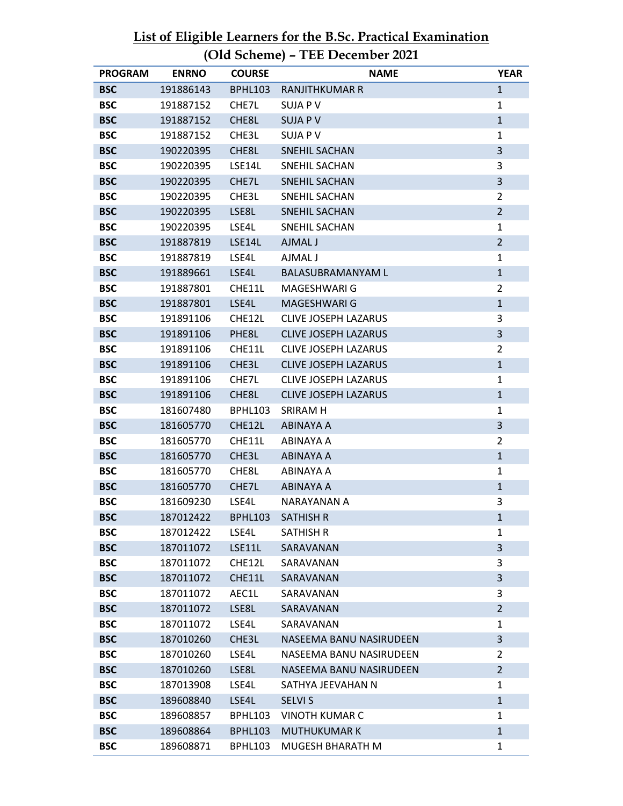| <b>PROGRAM</b> | <b>ENRNO</b> | <b>COURSE</b>  | <b>NAME</b>                 | <b>YEAR</b>    |
|----------------|--------------|----------------|-----------------------------|----------------|
| <b>BSC</b>     | 191886143    | <b>BPHL103</b> | <b>RANJITHKUMAR R</b>       | $\mathbf{1}$   |
| <b>BSC</b>     | 191887152    | CHE7L          | <b>SUJA PV</b>              | $\mathbf{1}$   |
| <b>BSC</b>     | 191887152    | CHE8L          | <b>SUJA PV</b>              | $\mathbf{1}$   |
| <b>BSC</b>     | 191887152    | CHE3L          | <b>SUJA PV</b>              | $\mathbf{1}$   |
| <b>BSC</b>     | 190220395    | CHE8L          | <b>SNEHIL SACHAN</b>        | 3              |
| <b>BSC</b>     | 190220395    | LSE14L         | SNEHIL SACHAN               | 3              |
| <b>BSC</b>     | 190220395    | CHE7L          | <b>SNEHIL SACHAN</b>        | 3              |
| <b>BSC</b>     | 190220395    | CHE3L          | <b>SNEHIL SACHAN</b>        | $\overline{2}$ |
| <b>BSC</b>     | 190220395    | LSE8L          | <b>SNEHIL SACHAN</b>        | $\overline{2}$ |
| <b>BSC</b>     | 190220395    | LSE4L          | SNEHIL SACHAN               | $\mathbf{1}$   |
| <b>BSC</b>     | 191887819    | LSE14L         | AJMAL J                     | $\overline{2}$ |
| <b>BSC</b>     | 191887819    | LSE4L          | AJMAL J                     | $\mathbf{1}$   |
| <b>BSC</b>     | 191889661    | LSE4L          | <b>BALASUBRAMANYAM L</b>    | $\mathbf{1}$   |
| <b>BSC</b>     | 191887801    | CHE11L         | MAGESHWARI G                | $\overline{2}$ |
| <b>BSC</b>     | 191887801    | LSE4L          | <b>MAGESHWARI G</b>         | $\mathbf{1}$   |
| <b>BSC</b>     | 191891106    | CHE12L         | <b>CLIVE JOSEPH LAZARUS</b> | 3              |
| <b>BSC</b>     | 191891106    | PHE8L          | <b>CLIVE JOSEPH LAZARUS</b> | 3              |
| <b>BSC</b>     | 191891106    | CHE11L         | <b>CLIVE JOSEPH LAZARUS</b> | $\overline{2}$ |
| <b>BSC</b>     | 191891106    | CHE3L          | <b>CLIVE JOSEPH LAZARUS</b> | $\mathbf{1}$   |
| <b>BSC</b>     | 191891106    | CHE7L          | <b>CLIVE JOSEPH LAZARUS</b> | $\mathbf{1}$   |
| <b>BSC</b>     | 191891106    | CHE8L          | <b>CLIVE JOSEPH LAZARUS</b> | $\mathbf{1}$   |
| <b>BSC</b>     | 181607480    | <b>BPHL103</b> | SRIRAM H                    | $\mathbf{1}$   |
| <b>BSC</b>     | 181605770    | CHE12L         | <b>ABINAYA A</b>            | $\overline{3}$ |
| <b>BSC</b>     | 181605770    | CHE11L         | ABINAYA A                   | $\overline{2}$ |
| <b>BSC</b>     | 181605770    | CHE3L          | <b>ABINAYA A</b>            | $\mathbf{1}$   |
| <b>BSC</b>     | 181605770    | CHE8L          | ABINAYA A                   | $\mathbf{1}$   |
| <b>BSC</b>     | 181605770    | CHE7L          | ABINAYA A                   | $\mathbf{1}$   |
| <b>BSC</b>     | 181609230    | LSE4L          | <b>NARAYANAN A</b>          | 3              |
| <b>BSC</b>     | 187012422    | <b>BPHL103</b> | <b>SATHISH R</b>            | $\mathbf{1}$   |
| <b>BSC</b>     | 187012422    | LSE4L          | <b>SATHISH R</b>            | 1              |
| <b>BSC</b>     | 187011072    | LSE11L         | SARAVANAN                   | $\overline{3}$ |
| <b>BSC</b>     | 187011072    | CHE12L         | SARAVANAN                   | 3              |
| <b>BSC</b>     | 187011072    | CHE11L         | SARAVANAN                   | 3              |
| <b>BSC</b>     | 187011072    | AEC1L          | SARAVANAN                   | 3              |
| <b>BSC</b>     | 187011072    | LSE8L          | SARAVANAN                   | $\overline{2}$ |
| <b>BSC</b>     | 187011072    | LSE4L          | SARAVANAN                   | $\mathbf{1}$   |
| <b>BSC</b>     | 187010260    | CHE3L          | NASEEMA BANU NASIRUDEEN     | 3              |
| <b>BSC</b>     | 187010260    | LSE4L          | NASEEMA BANU NASIRUDEEN     | $\overline{2}$ |
| <b>BSC</b>     | 187010260    | LSE8L          | NASEEMA BANU NASIRUDEEN     | $\overline{2}$ |
| <b>BSC</b>     | 187013908    | LSE4L          | SATHYA JEEVAHAN N           | $\mathbf{1}$   |
| <b>BSC</b>     | 189608840    | LSE4L          | <b>SELVI S</b>              | $\mathbf{1}$   |
| <b>BSC</b>     | 189608857    | <b>BPHL103</b> | <b>VINOTH KUMAR C</b>       | 1              |
| <b>BSC</b>     | 189608864    | <b>BPHL103</b> | <b>MUTHUKUMAR K</b>         | $\mathbf{1}$   |
| <b>BSC</b>     | 189608871    | <b>BPHL103</b> | MUGESH BHARATH M            | $\mathbf{1}$   |

**List of Eligible Learners for the B.Sc. Practical Examination (Old Scheme) – TEE December 2021**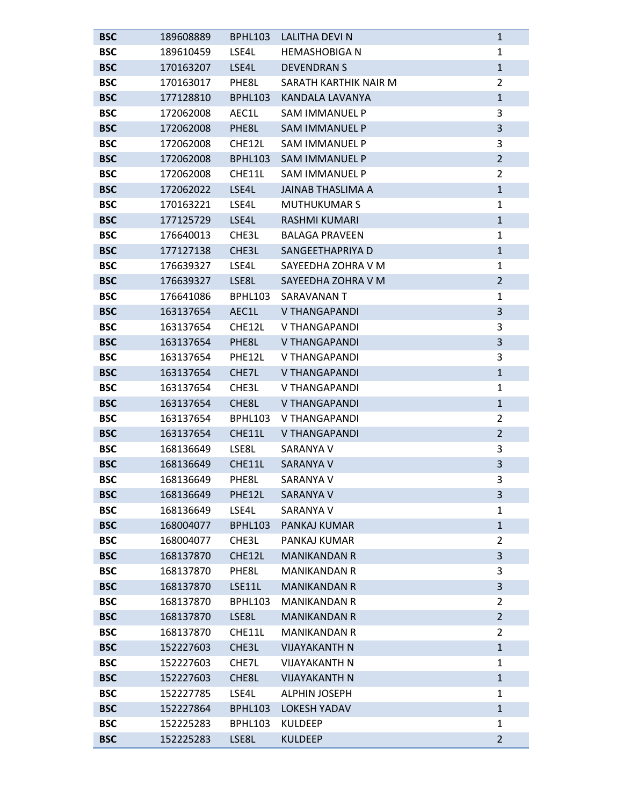| <b>BSC</b> | 189608889 | <b>BPHL103</b> | LALITHA DEVI N           | $\mathbf{1}$   |
|------------|-----------|----------------|--------------------------|----------------|
| <b>BSC</b> | 189610459 | LSE4L          | <b>HEMASHOBIGA N</b>     | 1              |
| <b>BSC</b> | 170163207 | LSE4L          | <b>DEVENDRANS</b>        | $\mathbf{1}$   |
| <b>BSC</b> | 170163017 | PHE8L          | SARATH KARTHIK NAIR M    | $\overline{2}$ |
| <b>BSC</b> | 177128810 | BPHL103        | <b>KANDALA LAVANYA</b>   | $\mathbf{1}$   |
| <b>BSC</b> | 172062008 | AEC1L          | <b>SAM IMMANUEL P</b>    | 3              |
| <b>BSC</b> | 172062008 | PHE8L          | <b>SAM IMMANUEL P</b>    | 3              |
| <b>BSC</b> | 172062008 | CHE12L         | <b>SAM IMMANUEL P</b>    | 3              |
| <b>BSC</b> | 172062008 | <b>BPHL103</b> | <b>SAM IMMANUEL P</b>    | $\overline{2}$ |
| <b>BSC</b> | 172062008 | CHE11L         | <b>SAM IMMANUEL P</b>    | $\overline{2}$ |
| <b>BSC</b> | 172062022 | LSE4L          | <b>JAINAB THASLIMA A</b> | $\mathbf{1}$   |
| <b>BSC</b> | 170163221 | LSE4L          | <b>MUTHUKUMAR S</b>      | 1              |
| <b>BSC</b> | 177125729 | LSE4L          | <b>RASHMI KUMARI</b>     | $\mathbf{1}$   |
| <b>BSC</b> | 176640013 | CHE3L          | <b>BALAGA PRAVEEN</b>    | 1              |
| <b>BSC</b> | 177127138 | CHE3L          | SANGEETHAPRIYA D         | $\mathbf{1}$   |
| <b>BSC</b> | 176639327 | LSE4L          | SAYEEDHA ZOHRA V M       | 1              |
| <b>BSC</b> | 176639327 | LSE8L          | SAYEEDHA ZOHRA V M       | $\overline{2}$ |
| <b>BSC</b> | 176641086 | BPHL103        | SARAVANAN T              | 1              |
| <b>BSC</b> | 163137654 | AEC1L          | <b>V THANGAPANDI</b>     | 3              |
| <b>BSC</b> | 163137654 | CHE12L         | V THANGAPANDI            | 3              |
| <b>BSC</b> | 163137654 | PHE8L          | <b>V THANGAPANDI</b>     | 3              |
| <b>BSC</b> | 163137654 | PHE12L         | V THANGAPANDI            | 3              |
| <b>BSC</b> | 163137654 | CHE7L          | <b>V THANGAPANDI</b>     | $\mathbf{1}$   |
| <b>BSC</b> | 163137654 | CHE3L          | V THANGAPANDI            | 1              |
| <b>BSC</b> | 163137654 | CHE8L          | <b>V THANGAPANDI</b>     | $\mathbf{1}$   |
| <b>BSC</b> | 163137654 | BPHL103        | V THANGAPANDI            | $\overline{2}$ |
| <b>BSC</b> | 163137654 | CHE11L         | <b>V THANGAPANDI</b>     | $\overline{2}$ |
| <b>BSC</b> | 168136649 | LSE8L          | <b>SARANYA V</b>         | 3              |
| <b>BSC</b> | 168136649 | CHE11L         | <b>SARANYA V</b>         | 3              |
| <b>BSC</b> | 168136649 | PHE8L          | SARANYA V                | 3              |
| <b>BSC</b> | 168136649 | PHE12L         | <b>SARANYA V</b>         | 3              |
| <b>BSC</b> | 168136649 | LSE4L          | SARANYA V                | 1              |
| <b>BSC</b> | 168004077 | <b>BPHL103</b> | PANKAJ KUMAR             | $\mathbf{1}$   |
| <b>BSC</b> | 168004077 | CHE3L          | PANKAJ KUMAR             | $\overline{2}$ |
| <b>BSC</b> | 168137870 | CHE12L         | <b>MANIKANDAN R</b>      | 3              |
| <b>BSC</b> | 168137870 | PHE8L          | <b>MANIKANDAN R</b>      | 3              |
| <b>BSC</b> | 168137870 | LSE11L         | <b>MANIKANDAN R</b>      | 3              |
| <b>BSC</b> | 168137870 | <b>BPHL103</b> | <b>MANIKANDAN R</b>      | $\overline{2}$ |
| <b>BSC</b> | 168137870 | LSE8L          | <b>MANIKANDAN R</b>      | $\overline{2}$ |
| <b>BSC</b> | 168137870 | CHE11L         | <b>MANIKANDAN R</b>      | 2              |
| <b>BSC</b> | 152227603 | CHE3L          | <b>VIJAYAKANTH N</b>     | $\mathbf{1}$   |
| <b>BSC</b> | 152227603 | CHE7L          | <b>VIJAYAKANTH N</b>     | 1              |
| <b>BSC</b> | 152227603 | CHE8L          | <b>VIJAYAKANTH N</b>     | $\mathbf{1}$   |
| <b>BSC</b> | 152227785 | LSE4L          | <b>ALPHIN JOSEPH</b>     | 1              |
| <b>BSC</b> | 152227864 | <b>BPHL103</b> | <b>LOKESH YADAV</b>      | $\mathbf{1}$   |
| <b>BSC</b> | 152225283 | <b>BPHL103</b> | <b>KULDEEP</b>           | $\mathbf{1}$   |
| <b>BSC</b> | 152225283 | LSE8L          | <b>KULDEEP</b>           | $\overline{2}$ |